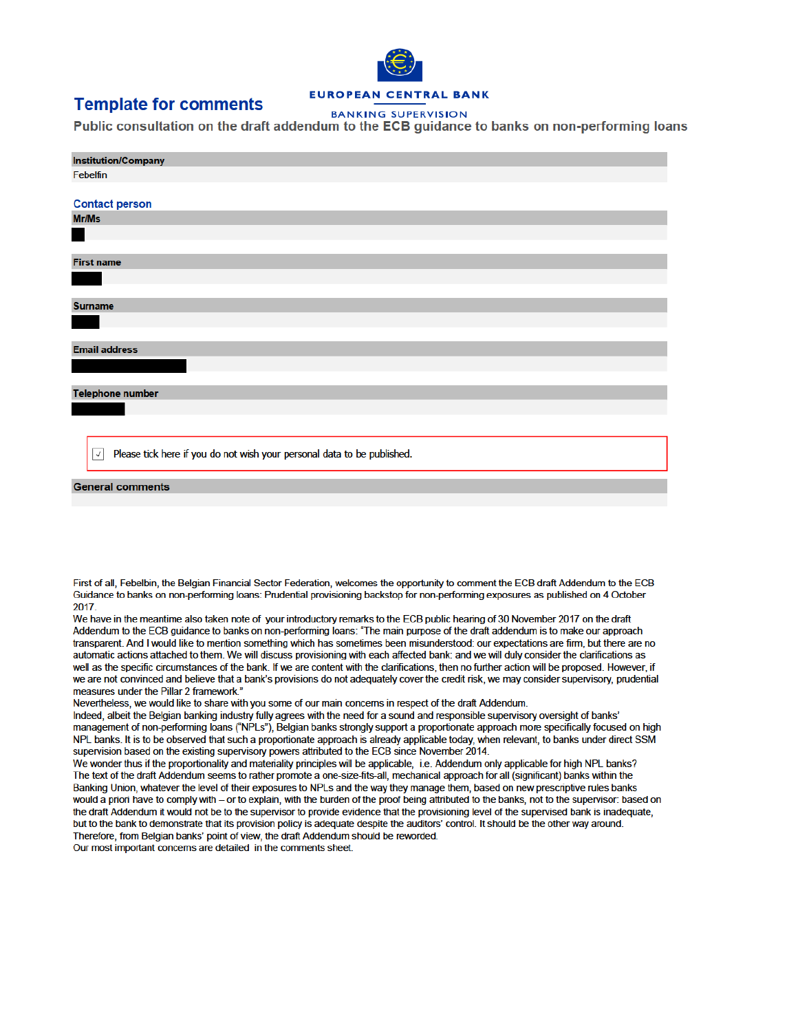# **Template for comments**

### **EUROPEAN CENTRAL BANK**

**BANKING SUPERVISION** 

Public consultation on the draft addendum to the ECB quidance to banks on non-performing loans

| <b>Institution/Company</b>                                                              |  |  |  |  |  |  |  |
|-----------------------------------------------------------------------------------------|--|--|--|--|--|--|--|
| Febelfin                                                                                |  |  |  |  |  |  |  |
|                                                                                         |  |  |  |  |  |  |  |
| <b>Contact person</b>                                                                   |  |  |  |  |  |  |  |
| Mr/Ms                                                                                   |  |  |  |  |  |  |  |
|                                                                                         |  |  |  |  |  |  |  |
|                                                                                         |  |  |  |  |  |  |  |
| <b>First name</b>                                                                       |  |  |  |  |  |  |  |
|                                                                                         |  |  |  |  |  |  |  |
|                                                                                         |  |  |  |  |  |  |  |
| <b>Surname</b>                                                                          |  |  |  |  |  |  |  |
|                                                                                         |  |  |  |  |  |  |  |
|                                                                                         |  |  |  |  |  |  |  |
| <b>Email address</b>                                                                    |  |  |  |  |  |  |  |
|                                                                                         |  |  |  |  |  |  |  |
|                                                                                         |  |  |  |  |  |  |  |
| <b>Telephone number</b>                                                                 |  |  |  |  |  |  |  |
|                                                                                         |  |  |  |  |  |  |  |
|                                                                                         |  |  |  |  |  |  |  |
| Please tick here if you do not wish your personal data to be published.<br>$\checkmark$ |  |  |  |  |  |  |  |
| <b>General comments</b>                                                                 |  |  |  |  |  |  |  |

First of all, Febelbin, the Belgian Financial Sector Federation, welcomes the opportunity to comment the ECB draft Addendum to the ECB Guidance to banks on non-performing loans: Prudential provisioning backstop for non-performing exposures as published on 4 October 2017

We have in the meantime also taken note of your introductory remarks to the ECB public hearing of 30 November 2017 on the draft Addendum to the ECB guidance to banks on non-performing loans: "The main purpose of the draft addendum is to make our approach transparent. And I would like to mention something which has sometimes been misunderstood: our expectations are firm, but there are no automatic actions attached to them. We will discuss provisioning with each affected bank: and we will duly consider the clarifications as well as the specific circumstances of the bank. If we are content with the clarifications, then no further action will be proposed. However, if we are not convinced and believe that a bank's provisions do not adequately cover the credit risk, we may consider supervisory, prudential measures under the Pillar 2 framework."

Nevertheless, we would like to share with you some of our main concerns in respect of the draft Addendum.

Indeed, albeit the Belgian banking industry fully agrees with the need for a sound and responsible supervisory oversight of banks' management of non-performing loans ("NPLs"), Belgian banks strongly support a proportionate approach more specifically focused on high NPL banks. It is to be observed that such a proportionate approach is already applicable today, when relevant, to banks under direct SSM supervision based on the existing supervisory powers attributed to the ECB since November 2014.

We wonder thus if the proportionality and materiality principles will be applicable, i.e. Addendum only applicable for high NPL banks? The text of the draft Addendum seems to rather promote a one-size-fits-all, mechanical approach for all (significant) banks within the Banking Union, whatever the level of their exposures to NPLs and the way they manage them, based on new prescriptive rules banks would a priori have to comply with – or to explain, with the burden of the proof being attributed to the banks, not to the supervisor; based on the draft Addendum it would not be to the supervisor to provide evidence that the provisioning level of the supervised bank is inadequate, but to the bank to demonstrate that its provision policy is adequate despite the auditors' control. It should be the other way around. Therefore, from Belgian banks' point of view, the draft Addendum should be reworded.

Our most important concerns are detailed in the comments sheet.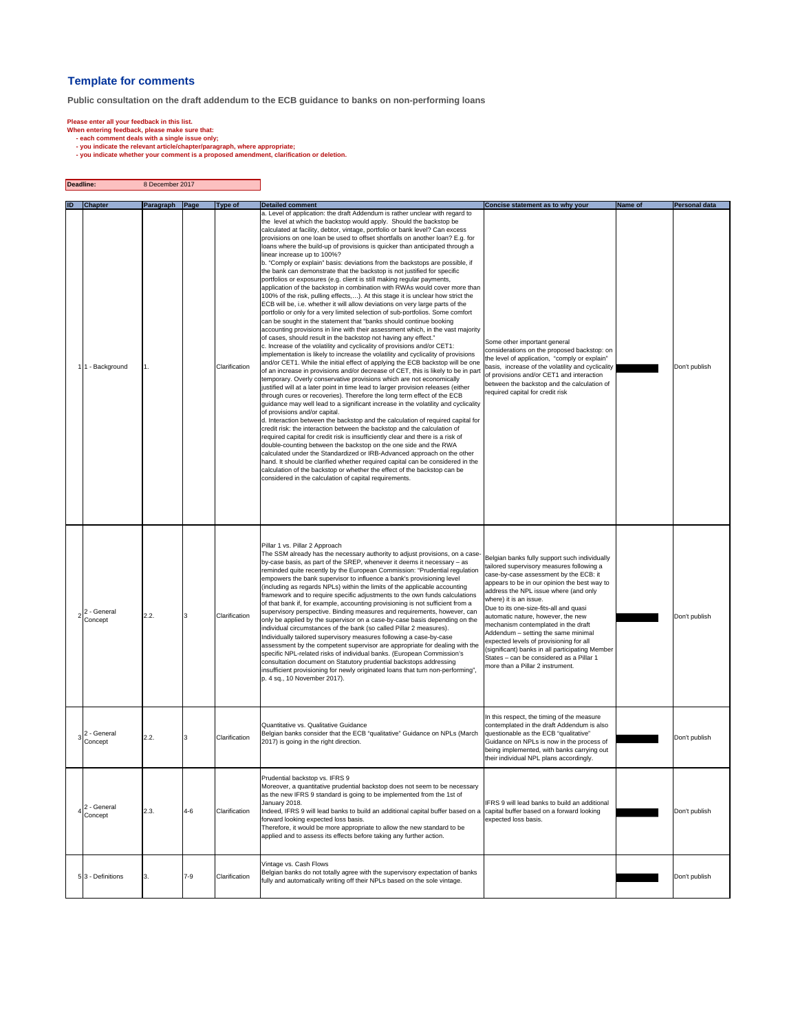#### **Template for comments**

**Public consultation on the draft addendum to the ECB guidance to banks on non-performing loans**

Please enter all your feedback in this list.<br>
"When entering feedback, please make sure that:<br>
- each comment deals with a single issue only;<br>
- you indicate the relevant article/chapter/paragraph, where appropriate;<br>
- yo

| Deadline: |                                  | 8 December 2017      |         |                                 |                                                                                                                                                                                                                                                                                                                                                                                                                                                                                                                                                                                                                                                                                                                                                                                                                                                                                                                                                                                                                                                                                                                                                                                                                                                                                                                                                                                                                                                                                                                                                                                                                                                                                                                                                                                                                                                                                                                                                                                                                                                                                                                                                                                                                                                                                                                                                                                                                                                                                                                                                                          |                                                                                                                                                                                                                                                                                                                                                                                                                                                                                                                                                                                                     |                |                                       |
|-----------|----------------------------------|----------------------|---------|---------------------------------|--------------------------------------------------------------------------------------------------------------------------------------------------------------------------------------------------------------------------------------------------------------------------------------------------------------------------------------------------------------------------------------------------------------------------------------------------------------------------------------------------------------------------------------------------------------------------------------------------------------------------------------------------------------------------------------------------------------------------------------------------------------------------------------------------------------------------------------------------------------------------------------------------------------------------------------------------------------------------------------------------------------------------------------------------------------------------------------------------------------------------------------------------------------------------------------------------------------------------------------------------------------------------------------------------------------------------------------------------------------------------------------------------------------------------------------------------------------------------------------------------------------------------------------------------------------------------------------------------------------------------------------------------------------------------------------------------------------------------------------------------------------------------------------------------------------------------------------------------------------------------------------------------------------------------------------------------------------------------------------------------------------------------------------------------------------------------------------------------------------------------------------------------------------------------------------------------------------------------------------------------------------------------------------------------------------------------------------------------------------------------------------------------------------------------------------------------------------------------------------------------------------------------------------------------------------------------|-----------------------------------------------------------------------------------------------------------------------------------------------------------------------------------------------------------------------------------------------------------------------------------------------------------------------------------------------------------------------------------------------------------------------------------------------------------------------------------------------------------------------------------------------------------------------------------------------------|----------------|---------------------------------------|
|           |                                  |                      |         |                                 | <b>Detailed comment</b>                                                                                                                                                                                                                                                                                                                                                                                                                                                                                                                                                                                                                                                                                                                                                                                                                                                                                                                                                                                                                                                                                                                                                                                                                                                                                                                                                                                                                                                                                                                                                                                                                                                                                                                                                                                                                                                                                                                                                                                                                                                                                                                                                                                                                                                                                                                                                                                                                                                                                                                                                  |                                                                                                                                                                                                                                                                                                                                                                                                                                                                                                                                                                                                     |                |                                       |
| ID.       | <b>Chapter</b><br>1 - Background | Paragraph Page<br>1. |         | <b>Type of</b><br>Clarification | a. Level of application: the draft Addendum is rather unclear with regard to<br>the level at which the backstop would apply. Should the backstop be<br>calculated at facility, debtor, vintage, portfolio or bank level? Can excess<br>provisions on one loan be used to offset shortfalls on another loan? E.g. for<br>loans where the build-up of provisions is quicker than anticipated through a<br>linear increase up to 100%?<br>b. "Comply or explain" basis: deviations from the backstops are possible, if<br>the bank can demonstrate that the backstop is not justified for specific<br>portfolios or exposures (e.g. client is still making regular payments,<br>application of the backstop in combination with RWAs would cover more than<br>100% of the risk, pulling effects,). At this stage it is unclear how strict the<br>ECB will be, i.e. whether it will allow deviations on very large parts of the<br>portfolio or only for a very limited selection of sub-portfolios. Some comfort<br>can be sought in the statement that "banks should continue booking<br>accounting provisions in line with their assessment which, in the vast majority<br>of cases, should result in the backstop not having any effect."<br>c. Increase of the volatility and cyclicality of provisions and/or CET1:<br>implementation is likely to increase the volatility and cyclicality of provisions<br>and/or CET1. While the initial effect of applying the ECB backstop will be one<br>of an increase in provisions and/or decrease of CET, this is likely to be in par<br>temporary. Overly conservative provisions which are not economically<br>justified will at a later point in time lead to larger provision releases (either<br>through cures or recoveries). Therefore the long term effect of the ECB<br>guidance may well lead to a significant increase in the volatility and cyclicality<br>of provisions and/or capital.<br>d. Interaction between the backstop and the calculation of required capital for<br>credit risk: the interaction between the backstop and the calculation of<br>required capital for credit risk is insufficiently clear and there is a risk of<br>double-counting between the backstop on the one side and the RWA<br>calculated under the Standardized or IRB-Advanced approach on the other<br>hand. It should be clarified whether required capital can be considered in the<br>calculation of the backstop or whether the effect of the backstop can be<br>considered in the calculation of capital requirements. | Concise statement as to why your<br>Some other important general<br>considerations on the proposed backstop: on<br>the level of application, "comply or explain"<br>basis, increase of the volatility and cyclicality<br>of provisions and/or CET1 and interaction<br>between the backstop and the calculation of<br>required capital for credit risk                                                                                                                                                                                                                                               | <b>Name of</b> | <b>Personal data</b><br>Don't publish |
|           | 2 - General<br>Concept           | 2.2.                 |         | Clarification                   | Pillar 1 vs. Pillar 2 Approach<br>The SSM already has the necessary authority to adjust provisions, on a case<br>by-case basis, as part of the SREP, whenever it deems it necessary - as<br>reminded quite recently by the European Commission: "Prudential regulation<br>empowers the bank supervisor to influence a bank's provisioning level<br>(including as regards NPLs) within the limits of the applicable accounting<br>framework and to require specific adjustments to the own funds calculations<br>of that bank if, for example, accounting provisioning is not sufficient from a<br>supervisory perspective. Binding measures and requirements, however, can<br>only be applied by the supervisor on a case-by-case basis depending on the<br>individual circumstances of the bank (so called Pillar 2 measures).<br>Individually tailored supervisory measures following a case-by-case<br>assessment by the competent supervisor are appropriate for dealing with the<br>specific NPL-related risks of individual banks. (European Commission's<br>consultation document on Statutory prudential backstops addressing<br>insufficient provisioning for newly originated loans that turn non-performing",<br>p. 4 sq., 10 November 2017).                                                                                                                                                                                                                                                                                                                                                                                                                                                                                                                                                                                                                                                                                                                                                                                                                                                                                                                                                                                                                                                                                                                                                                                                                                                                                                                 | Belgian banks fully support such individually<br>tailored supervisory measures following a<br>case-by-case assessment by the ECB: it<br>appears to be in our opinion the best way to<br>address the NPL issue where (and only<br>where) it is an issue.<br>Due to its one-size-fits-all and quasi<br>automatic nature, however, the new<br>mechanism contemplated in the draft<br>Addendum - setting the same minimal<br>expected levels of provisioning for all<br>(significant) banks in all participating Member<br>States - can be considered as a Pillar 1<br>more than a Pillar 2 instrument. |                | Don't publish                         |
|           | 2 - General<br>Concept           | 2.2.                 |         | Clarification                   | Quantitative vs. Qualitative Guidance<br>Belgian banks consider that the ECB "qualitative" Guidance on NPLs (March<br>2017) is going in the right direction.                                                                                                                                                                                                                                                                                                                                                                                                                                                                                                                                                                                                                                                                                                                                                                                                                                                                                                                                                                                                                                                                                                                                                                                                                                                                                                                                                                                                                                                                                                                                                                                                                                                                                                                                                                                                                                                                                                                                                                                                                                                                                                                                                                                                                                                                                                                                                                                                             | In this respect, the timing of the measure<br>contemplated in the draft Addendum is also<br>questionable as the ECB "qualitative"<br>Guidance on NPLs is now in the process of<br>being implemented, with banks carrying out<br>their individual NPL plans accordingly.                                                                                                                                                                                                                                                                                                                             |                | Don't publish                         |
|           | 2 - General<br>Concept           | 2.3.                 | $4 - 6$ | Clarification                   | Prudential backstop vs. IFRS 9<br>Moreover, a quantitative prudential backstop does not seem to be necessary<br>as the new IFRS 9 standard is going to be implemented from the 1st of<br>January 2018.<br>Indeed, IFRS 9 will lead banks to build an additional capital buffer based on a capital buffer based on a forward looking<br>forward looking expected loss basis.<br>Therefore, it would be more appropriate to allow the new standard to be<br>applied and to assess its effects before taking any further action.                                                                                                                                                                                                                                                                                                                                                                                                                                                                                                                                                                                                                                                                                                                                                                                                                                                                                                                                                                                                                                                                                                                                                                                                                                                                                                                                                                                                                                                                                                                                                                                                                                                                                                                                                                                                                                                                                                                                                                                                                                            | IFRS 9 will lead banks to build an additional<br>expected loss basis.                                                                                                                                                                                                                                                                                                                                                                                                                                                                                                                               |                | Don't publish                         |
|           | 5 3 - Definitions                | 3.                   | $7-9$   | Clarification                   | Vintage vs. Cash Flows<br>Belgian banks do not totally agree with the supervisory expectation of banks<br>fully and automatically writing off their NPLs based on the sole vintage.                                                                                                                                                                                                                                                                                                                                                                                                                                                                                                                                                                                                                                                                                                                                                                                                                                                                                                                                                                                                                                                                                                                                                                                                                                                                                                                                                                                                                                                                                                                                                                                                                                                                                                                                                                                                                                                                                                                                                                                                                                                                                                                                                                                                                                                                                                                                                                                      |                                                                                                                                                                                                                                                                                                                                                                                                                                                                                                                                                                                                     |                | Don't publish                         |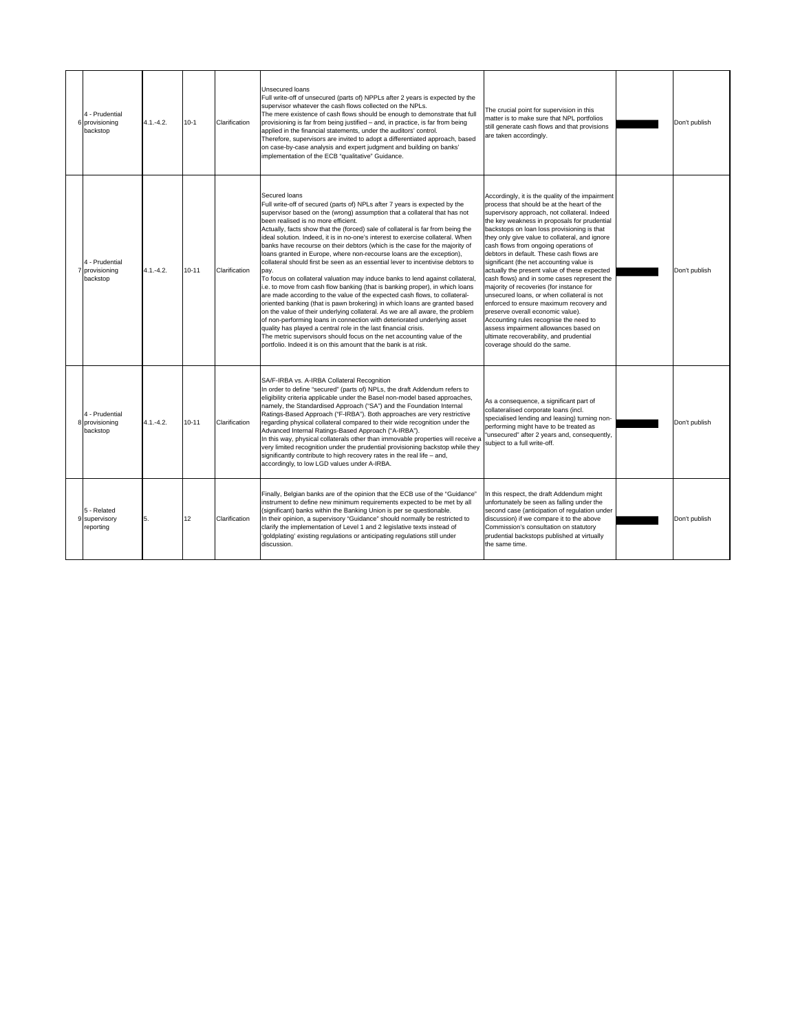| 4 - Prudential<br>6 provisioning<br>backstop | $4.1 - 4.2.$  | $10-1$    | Clarification | Unsecured loans<br>Full write-off of unsecured (parts of) NPPLs after 2 years is expected by the<br>supervisor whatever the cash flows collected on the NPLs.<br>The mere existence of cash flows should be enough to demonstrate that full<br>provisioning is far from being justified - and, in practice, is far from being<br>applied in the financial statements, under the auditors' control.<br>Therefore, supervisors are invited to adopt a differentiated approach, based<br>on case-by-case analysis and expert judgment and building on banks'<br>implementation of the ECB "qualitative" Guidance.                                                                                                                                                                                                                                                                                                                                                                                                                                                                                                                                                                                                                                                                                                                                      | The crucial point for supervision in this<br>matter is to make sure that NPL portfolios<br>still generate cash flows and that provisions<br>are taken accordingly.                                                                                                                                                                                                                                                                                                                                                                                                                                                                                                                                                                                                                                                                                                      | Don't publish |
|----------------------------------------------|---------------|-----------|---------------|-----------------------------------------------------------------------------------------------------------------------------------------------------------------------------------------------------------------------------------------------------------------------------------------------------------------------------------------------------------------------------------------------------------------------------------------------------------------------------------------------------------------------------------------------------------------------------------------------------------------------------------------------------------------------------------------------------------------------------------------------------------------------------------------------------------------------------------------------------------------------------------------------------------------------------------------------------------------------------------------------------------------------------------------------------------------------------------------------------------------------------------------------------------------------------------------------------------------------------------------------------------------------------------------------------------------------------------------------------|-------------------------------------------------------------------------------------------------------------------------------------------------------------------------------------------------------------------------------------------------------------------------------------------------------------------------------------------------------------------------------------------------------------------------------------------------------------------------------------------------------------------------------------------------------------------------------------------------------------------------------------------------------------------------------------------------------------------------------------------------------------------------------------------------------------------------------------------------------------------------|---------------|
| 4 - Prudential<br>7 provisioning<br>backstop | $4.1 - 4.2$ . | $10 - 11$ | Clarification | Secured loans<br>Full write-off of secured (parts of) NPLs after 7 years is expected by the<br>supervisor based on the (wrong) assumption that a collateral that has not<br>been realised is no more efficient.<br>Actually, facts show that the (forced) sale of collateral is far from being the<br>ideal solution. Indeed, it is in no-one's interest to exercise collateral. When<br>banks have recourse on their debtors (which is the case for the majority of<br>loans granted in Europe, where non-recourse loans are the exception),<br>collateral should first be seen as an essential lever to incentivise debtors to<br>pay.<br>To focus on collateral valuation may induce banks to lend against collateral,<br>i.e. to move from cash flow banking (that is banking proper), in which loans<br>are made according to the value of the expected cash flows, to collateral-<br>oriented banking (that is pawn brokering) in which loans are granted based<br>on the value of their underlying collateral. As we are all aware, the problem<br>of non-performing loans in connection with deteriorated underlying asset<br>quality has played a central role in the last financial crisis.<br>The metric supervisors should focus on the net accounting value of the<br>portfolio. Indeed it is on this amount that the bank is at risk. | Accordingly, it is the quality of the impairment<br>process that should be at the heart of the<br>supervisory approach, not collateral. Indeed<br>the key weakness in proposals for prudential<br>backstops on loan loss provisioning is that<br>they only give value to collateral, and ignore<br>cash flows from ongoing operations of<br>debtors in default. These cash flows are<br>significant (the net accounting value is<br>actually the present value of these expected<br>cash flows) and in some cases represent the<br>majority of recoveries (for instance for<br>unsecured loans, or when collateral is not<br>enforced to ensure maximum recovery and<br>preserve overall economic value).<br>Accounting rules recognise the need to<br>assess impairment allowances based on<br>ultimate recoverability, and prudential<br>coverage should do the same. | Don't publish |
| 4 - Prudential<br>8 provisioning<br>backstop | $4.1 - 4.2$   | $10 - 11$ | Clarification | SA/F-IRBA vs. A-IRBA Collateral Recognition<br>In order to define "secured" (parts of) NPLs, the draft Addendum refers to<br>eligibility criteria applicable under the Basel non-model based approaches,<br>namely, the Standardised Approach ("SA") and the Foundation Internal<br>Ratings-Based Approach ("F-IRBA"). Both approaches are very restrictive<br>regarding physical collateral compared to their wide recognition under the<br>Advanced Internal Ratings-Based Approach ("A-IRBA").<br>In this way, physical collaterals other than immovable properties will receive a<br>very limited recognition under the prudential provisioning backstop while they<br>significantly contribute to high recovery rates in the real life - and,<br>accordingly, to low LGD values under A-IRBA.                                                                                                                                                                                                                                                                                                                                                                                                                                                                                                                                                  | As a consequence, a significant part of<br>collateralised corporate loans (incl.<br>specialised lending and leasing) turning non-<br>performing might have to be treated as<br>'unsecured" after 2 years and, consequently,<br>subject to a full write-off.                                                                                                                                                                                                                                                                                                                                                                                                                                                                                                                                                                                                             | Don't publish |
| 5 - Related<br>9 supervisory<br>reporting    | 5.            | 12        | Clarification | Finally, Belgian banks are of the opinion that the ECB use of the "Guidance"<br>instrument to define new minimum requirements expected to be met by all<br>(significant) banks within the Banking Union is per se questionable.<br>In their opinion, a supervisory "Guidance" should normally be restricted to<br>clarify the implementation of Level 1 and 2 legislative texts instead of<br>'goldplating' existing regulations or anticipating regulations still under<br>discussion.                                                                                                                                                                                                                                                                                                                                                                                                                                                                                                                                                                                                                                                                                                                                                                                                                                                             | In this respect, the draft Addendum might<br>unfortunately be seen as falling under the<br>second case (anticipation of regulation under<br>discussion) if we compare it to the above<br>Commission's consultation on statutory<br>prudential backstops published at virtually<br>the same time.                                                                                                                                                                                                                                                                                                                                                                                                                                                                                                                                                                        | Don't publish |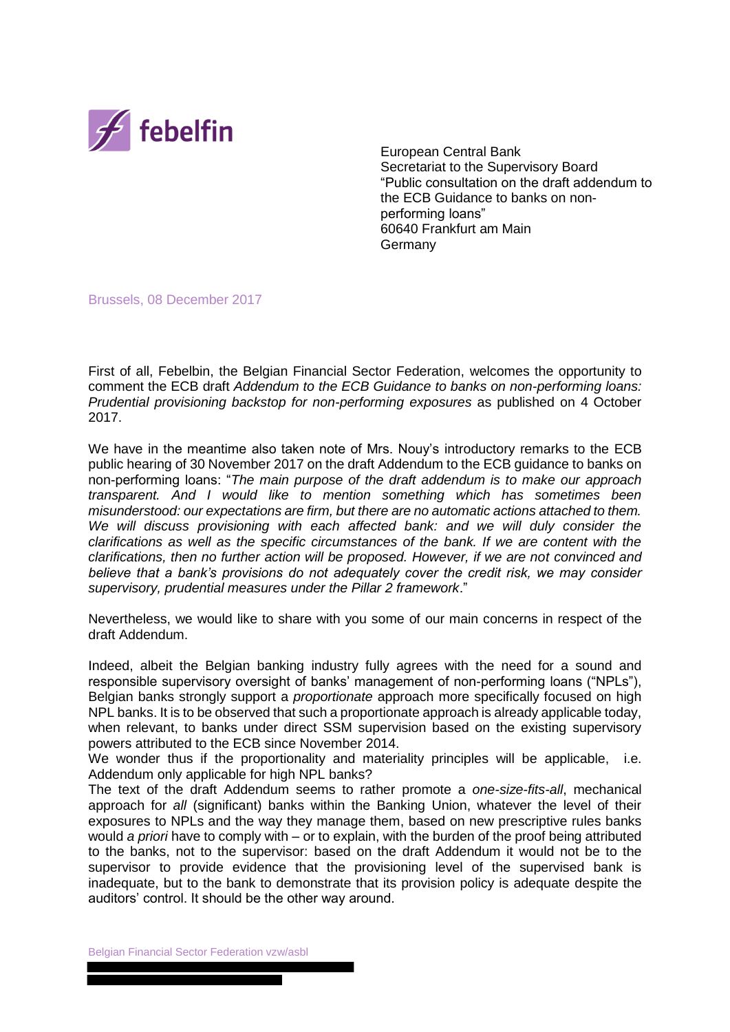

European Central Bank Secretariat to the Supervisory Board "Public consultation on the draft addendum to the ECB Guidance to banks on nonperforming loans" 60640 Frankfurt am Main Germany

Brussels, 08 December 2017

First of all, Febelbin, the Belgian Financial Sector Federation, welcomes the opportunity to comment the ECB draft *Addendum to the ECB Guidance to banks on non-performing loans: Prudential provisioning backstop for non-performing exposures* as published on 4 October 2017.

We have in the meantime also taken note of Mrs. Nouy's introductory remarks to the ECB public hearing of 30 November 2017 on the draft Addendum to the ECB guidance to banks on non-performing loans: "*The main purpose of the draft addendum is to make our approach transparent. And I would like to mention something which has sometimes been misunderstood: our expectations are firm, but there are no automatic actions attached to them. We will discuss provisioning with each affected bank: and we will duly consider the clarifications as well as the specific circumstances of the bank. If we are content with the clarifications, then no further action will be proposed. However, if we are not convinced and believe that a bank's provisions do not adequately cover the credit risk, we may consider supervisory, prudential measures under the Pillar 2 framework*."

Nevertheless, we would like to share with you some of our main concerns in respect of the draft Addendum.

Indeed, albeit the Belgian banking industry fully agrees with the need for a sound and responsible supervisory oversight of banks' management of non-performing loans ("NPLs"), Belgian banks strongly support a *proportionate* approach more specifically focused on high NPL banks. It is to be observed that such a proportionate approach is already applicable today, when relevant, to banks under direct SSM supervision based on the existing supervisory powers attributed to the ECB since November 2014.

We wonder thus if the proportionality and materiality principles will be applicable, i.e. Addendum only applicable for high NPL banks?

The text of the draft Addendum seems to rather promote a *one-size-fits-all*, mechanical approach for *all* (significant) banks within the Banking Union, whatever the level of their exposures to NPLs and the way they manage them, based on new prescriptive rules banks would *a priori* have to comply with – or to explain, with the burden of the proof being attributed to the banks, not to the supervisor: based on the draft Addendum it would not be to the supervisor to provide evidence that the provisioning level of the supervised bank is inadequate, but to the bank to demonstrate that its provision policy is adequate despite the auditors' control. It should be the other way around.

Belgian Financial Sector Federation vzw/asbl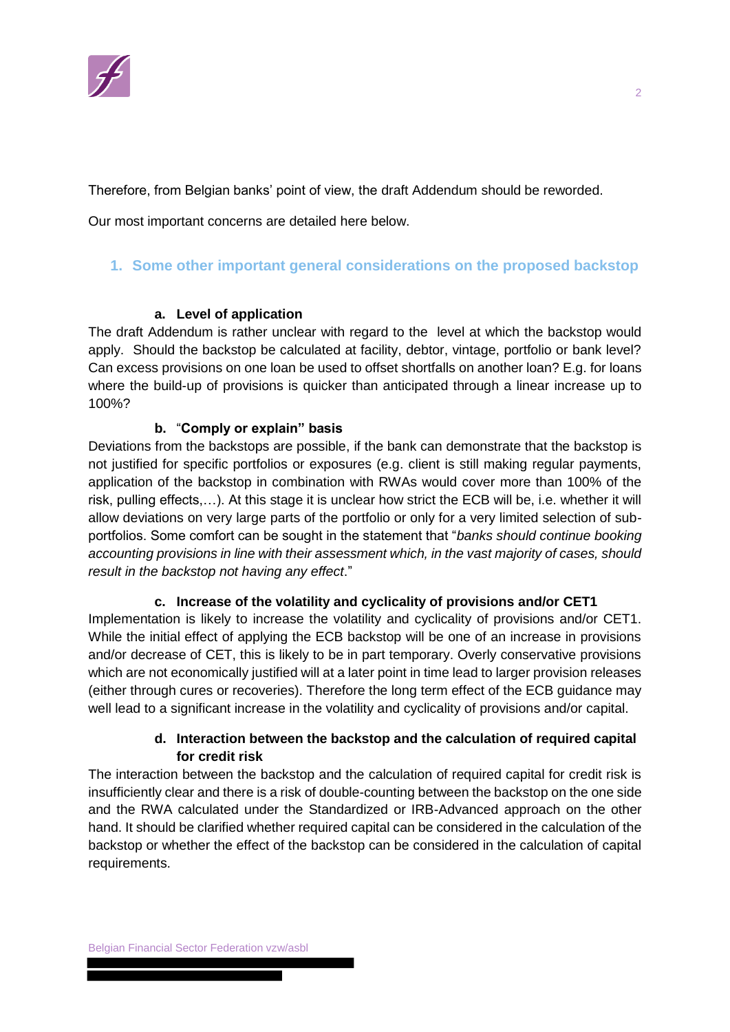

Therefore, from Belgian banks' point of view, the draft Addendum should be reworded.

Our most important concerns are detailed here below.

# **1. Some other important general considerations on the proposed backstop**

# **a. Level of application**

The draft Addendum is rather unclear with regard to the level at which the backstop would apply. Should the backstop be calculated at facility, debtor, vintage, portfolio or bank level? Can excess provisions on one loan be used to offset shortfalls on another loan? E.g. for loans where the build-up of provisions is quicker than anticipated through a linear increase up to 100%?

# **b.** "**Comply or explain" basis**

Deviations from the backstops are possible, if the bank can demonstrate that the backstop is not justified for specific portfolios or exposures (e.g. client is still making regular payments, application of the backstop in combination with RWAs would cover more than 100% of the risk, pulling effects,…). At this stage it is unclear how strict the ECB will be, i.e. whether it will allow deviations on very large parts of the portfolio or only for a very limited selection of subportfolios. Some comfort can be sought in the statement that "*banks should continue booking accounting provisions in line with their assessment which, in the vast majority of cases, should result in the backstop not having any effect*."

#### **c. Increase of the volatility and cyclicality of provisions and/or CET1**

Implementation is likely to increase the volatility and cyclicality of provisions and/or CET1. While the initial effect of applying the ECB backstop will be one of an increase in provisions and/or decrease of CET, this is likely to be in part temporary. Overly conservative provisions which are not economically justified will at a later point in time lead to larger provision releases (either through cures or recoveries). Therefore the long term effect of the ECB guidance may well lead to a significant increase in the volatility and cyclicality of provisions and/or capital.

# **d. Interaction between the backstop and the calculation of required capital for credit risk**

The interaction between the backstop and the calculation of required capital for credit risk is insufficiently clear and there is a risk of double-counting between the backstop on the one side and the RWA calculated under the Standardized or IRB-Advanced approach on the other hand. It should be clarified whether required capital can be considered in the calculation of the backstop or whether the effect of the backstop can be considered in the calculation of capital requirements.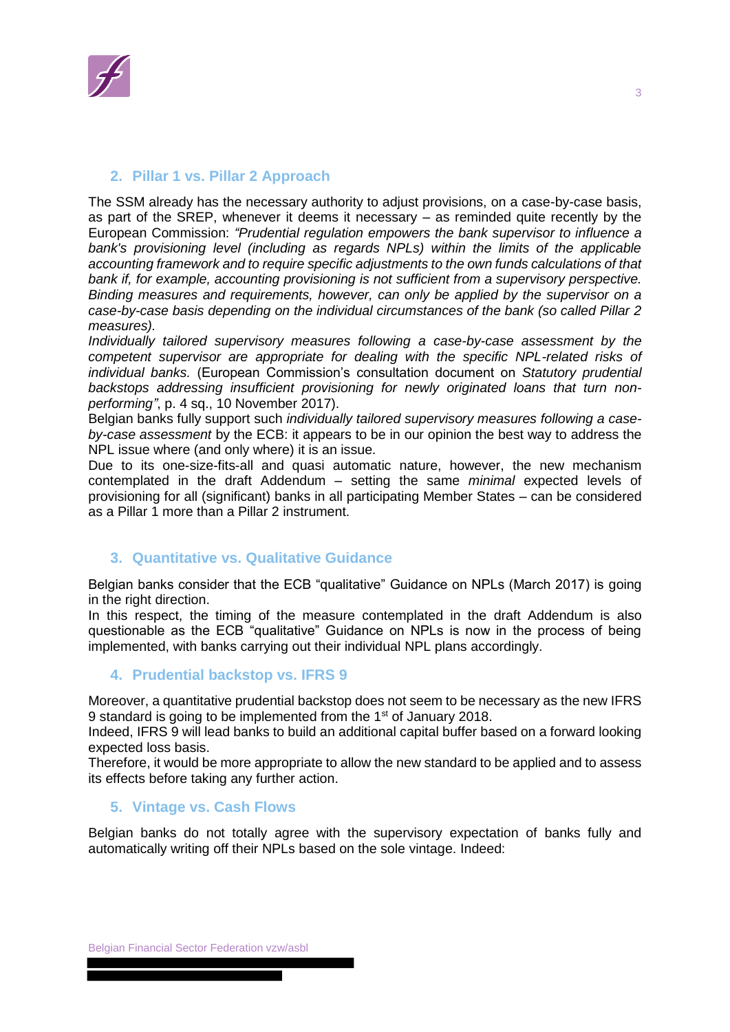

# **2. Pillar 1 vs. Pillar 2 Approach**

The SSM already has the necessary authority to adjust provisions, on a case-by-case basis, as part of the SREP, whenever it deems it necessary – as reminded quite recently by the European Commission: *"Prudential regulation empowers the bank supervisor to influence a bank's provisioning level (including as regards NPLs) within the limits of the applicable accounting framework and to require specific adjustments to the own funds calculations of that bank if, for example, accounting provisioning is not sufficient from a supervisory perspective. Binding measures and requirements, however, can only be applied by the supervisor on a case-by-case basis depending on the individual circumstances of the bank (so called Pillar 2 measures).* 

*Individually tailored supervisory measures following a case-by-case assessment by the competent supervisor are appropriate for dealing with the specific NPL-related risks of individual banks.* (European Commission's consultation document on *Statutory prudential backstops addressing insufficient provisioning for newly originated loans that turn nonperforming"*, p. 4 sq., 10 November 2017).

Belgian banks fully support such *individually tailored supervisory measures following a caseby-case assessment* by the ECB: it appears to be in our opinion the best way to address the NPL issue where (and only where) it is an issue.

Due to its one-size-fits-all and quasi automatic nature, however, the new mechanism contemplated in the draft Addendum – setting the same *minimal* expected levels of provisioning for all (significant) banks in all participating Member States – can be considered as a Pillar 1 more than a Pillar 2 instrument.

### **3. Quantitative vs. Qualitative Guidance**

Belgian banks consider that the ECB "qualitative" Guidance on NPLs (March 2017) is going in the right direction.

In this respect, the timing of the measure contemplated in the draft Addendum is also questionable as the ECB "qualitative" Guidance on NPLs is now in the process of being implemented, with banks carrying out their individual NPL plans accordingly.

#### **4. Prudential backstop vs. IFRS 9**

Moreover, a quantitative prudential backstop does not seem to be necessary as the new IFRS 9 standard is going to be implemented from the 1<sup>st</sup> of January 2018.

Indeed, IFRS 9 will lead banks to build an additional capital buffer based on a forward looking expected loss basis.

Therefore, it would be more appropriate to allow the new standard to be applied and to assess its effects before taking any further action.

#### **5. Vintage vs. Cash Flows**

Belgian banks do not totally agree with the supervisory expectation of banks fully and automatically writing off their NPLs based on the sole vintage. Indeed: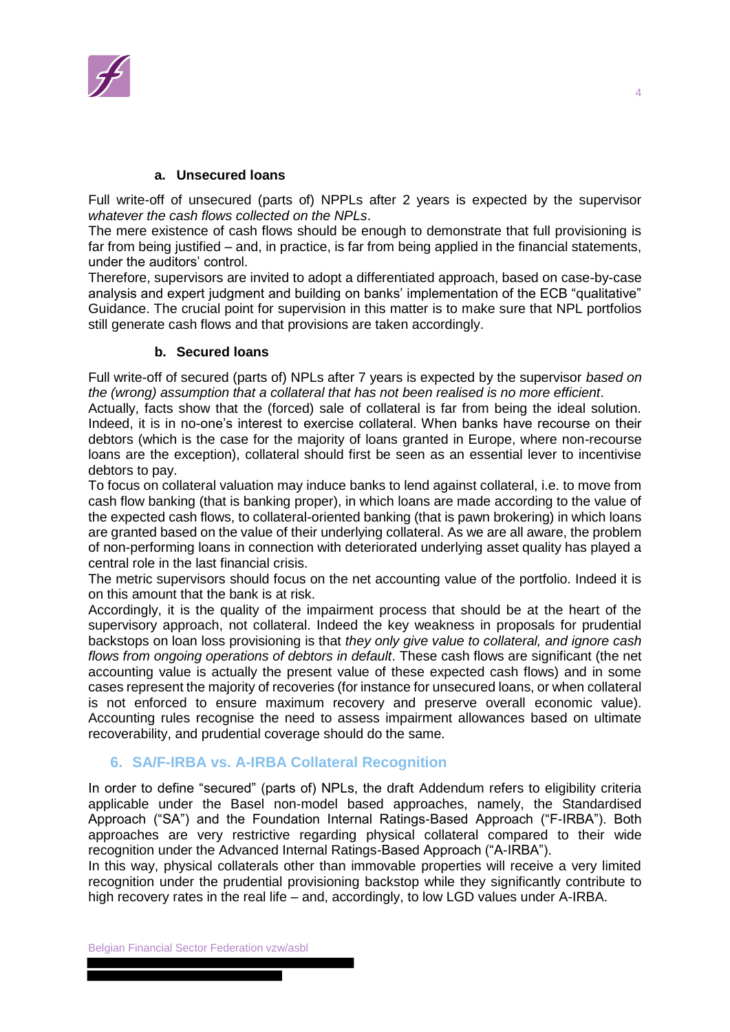

#### **a. Unsecured loans**

Full write-off of unsecured (parts of) NPPLs after 2 years is expected by the supervisor *whatever the cash flows collected on the NPLs*.

The mere existence of cash flows should be enough to demonstrate that full provisioning is far from being justified – and, in practice, is far from being applied in the financial statements, under the auditors' control.

Therefore, supervisors are invited to adopt a differentiated approach, based on case-by-case analysis and expert judgment and building on banks' implementation of the ECB "qualitative" Guidance. The crucial point for supervision in this matter is to make sure that NPL portfolios still generate cash flows and that provisions are taken accordingly.

#### **b. Secured loans**

Full write-off of secured (parts of) NPLs after 7 years is expected by the supervisor *based on the (wrong) assumption that a collateral that has not been realised is no more efficient*.

Actually, facts show that the (forced) sale of collateral is far from being the ideal solution. Indeed, it is in no-one's interest to exercise collateral. When banks have recourse on their debtors (which is the case for the majority of loans granted in Europe, where non-recourse loans are the exception), collateral should first be seen as an essential lever to incentivise debtors to pay.

To focus on collateral valuation may induce banks to lend against collateral, i.e. to move from cash flow banking (that is banking proper), in which loans are made according to the value of the expected cash flows, to collateral-oriented banking (that is pawn brokering) in which loans are granted based on the value of their underlying collateral. As we are all aware, the problem of non-performing loans in connection with deteriorated underlying asset quality has played a central role in the last financial crisis.

The metric supervisors should focus on the net accounting value of the portfolio. Indeed it is on this amount that the bank is at risk.

Accordingly, it is the quality of the impairment process that should be at the heart of the supervisory approach, not collateral. Indeed the key weakness in proposals for prudential backstops on loan loss provisioning is that *they only give value to collateral, and ignore cash flows from ongoing operations of debtors in default*. These cash flows are significant (the net accounting value is actually the present value of these expected cash flows) and in some cases represent the majority of recoveries (for instance for unsecured loans, or when collateral is not enforced to ensure maximum recovery and preserve overall economic value). Accounting rules recognise the need to assess impairment allowances based on ultimate recoverability, and prudential coverage should do the same.

# **6. SA/F-IRBA vs. A-IRBA Collateral Recognition**

In order to define "secured" (parts of) NPLs, the draft Addendum refers to eligibility criteria applicable under the Basel non-model based approaches, namely, the Standardised Approach ("SA") and the Foundation Internal Ratings-Based Approach ("F-IRBA"). Both approaches are very restrictive regarding physical collateral compared to their wide recognition under the Advanced Internal Ratings-Based Approach ("A-IRBA").

In this way, physical collaterals other than immovable properties will receive a very limited recognition under the prudential provisioning backstop while they significantly contribute to high recovery rates in the real life – and, accordingly, to low LGD values under A-IRBA.